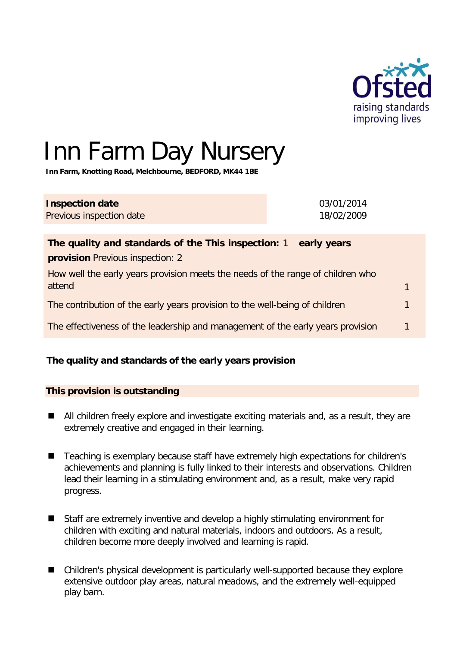

# Inn Farm Day Nursery

**Inn Farm, Knotting Road, Melchbourne, BEDFORD, MK44 1BE** 

## **Inspection date**

Previous inspection date

03/01/2014 18/02/2009

| The quality and standards of the This inspection: 1<br>early years                        |                |
|-------------------------------------------------------------------------------------------|----------------|
| <b>provision</b> Previous inspection: 2                                                   |                |
| How well the early years provision meets the needs of the range of children who<br>attend |                |
| The contribution of the early years provision to the well-being of children               | $\blacksquare$ |
| The effectiveness of the leadership and management of the early years provision           | $\mathbf{1}$   |

## **The quality and standards of the early years provision**

## **This provision is outstanding**

- All children freely explore and investigate exciting materials and, as a result, they are extremely creative and engaged in their learning.
- Teaching is exemplary because staff have extremely high expectations for children's achievements and planning is fully linked to their interests and observations. Children lead their learning in a stimulating environment and, as a result, make very rapid progress.
- Staff are extremely inventive and develop a highly stimulating environment for children with exciting and natural materials, indoors and outdoors. As a result, children become more deeply involved and learning is rapid.
- Children's physical development is particularly well-supported because they explore extensive outdoor play areas, natural meadows, and the extremely well-equipped play barn.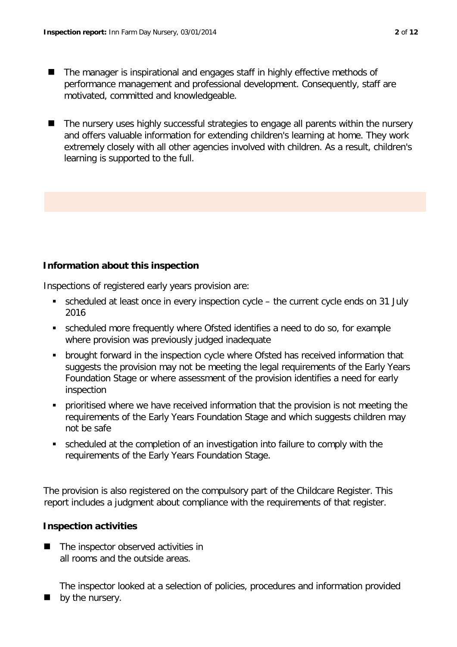- The manager is inspirational and engages staff in highly effective methods of performance management and professional development. Consequently, staff are motivated, committed and knowledgeable.
- The nursery uses highly successful strategies to engage all parents within the nursery and offers valuable information for extending children's learning at home. They work extremely closely with all other agencies involved with children. As a result, children's learning is supported to the full.

## **Information about this inspection**

Inspections of registered early years provision are:

- scheduled at least once in every inspection cycle the current cycle ends on 31 July 2016
- scheduled more frequently where Ofsted identifies a need to do so, for example where provision was previously judged inadequate
- brought forward in the inspection cycle where Ofsted has received information that suggests the provision may not be meeting the legal requirements of the Early Years Foundation Stage or where assessment of the provision identifies a need for early inspection
- prioritised where we have received information that the provision is not meeting the requirements of the Early Years Foundation Stage and which suggests children may not be safe
- scheduled at the completion of an investigation into failure to comply with the requirements of the Early Years Foundation Stage.

The provision is also registered on the compulsory part of the Childcare Register. This report includes a judgment about compliance with the requirements of that register.

### **Inspection activities**

■ The inspector observed activities in all rooms and the outside areas.

The inspector looked at a selection of policies, procedures and information provided

 $\blacksquare$  by the nursery.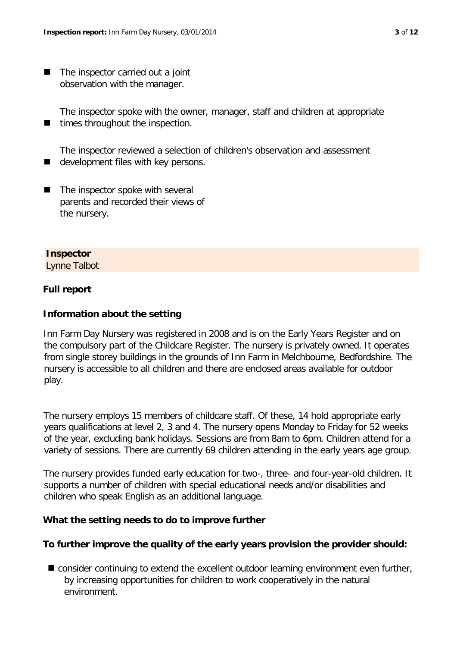■ The inspector carried out a joint observation with the manager.

The inspector spoke with the owner, manager, staff and children at appropriate  $\blacksquare$  times throughout the inspection.

The inspector reviewed a selection of children's observation and assessment  $\blacksquare$  development files with key persons.

 $\blacksquare$  The inspector spoke with several parents and recorded their views of the nursery.

#### **Inspector**

Lynne Talbot

#### **Full report**

#### **Information about the setting**

Inn Farm Day Nursery was registered in 2008 and is on the Early Years Register and on the compulsory part of the Childcare Register. The nursery is privately owned. It operates from single storey buildings in the grounds of Inn Farm in Melchbourne, Bedfordshire. The nursery is accessible to all children and there are enclosed areas available for outdoor play.

The nursery employs 15 members of childcare staff. Of these, 14 hold appropriate early years qualifications at level 2, 3 and 4. The nursery opens Monday to Friday for 52 weeks of the year, excluding bank holidays. Sessions are from 8am to 6pm. Children attend for a variety of sessions. There are currently 69 children attending in the early years age group.

The nursery provides funded early education for two-, three- and four-year-old children. It supports a number of children with special educational needs and/or disabilities and children who speak English as an additional language.

#### **What the setting needs to do to improve further**

#### **To further improve the quality of the early years provision the provider should:**

■ consider continuing to extend the excellent outdoor learning environment even further, by increasing opportunities for children to work cooperatively in the natural environment.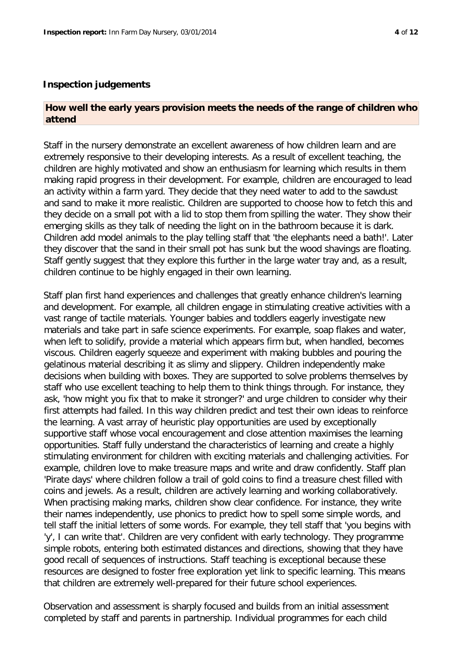#### **How well the early years provision meets the needs of the range of children who attend**

Staff in the nursery demonstrate an excellent awareness of how children learn and are extremely responsive to their developing interests. As a result of excellent teaching, the children are highly motivated and show an enthusiasm for learning which results in them making rapid progress in their development. For example, children are encouraged to lead an activity within a farm yard. They decide that they need water to add to the sawdust and sand to make it more realistic. Children are supported to choose how to fetch this and they decide on a small pot with a lid to stop them from spilling the water. They show their emerging skills as they talk of needing the light on in the bathroom because it is dark. Children add model animals to the play telling staff that 'the elephants need a bath!'. Later they discover that the sand in their small pot has sunk but the wood shavings are floating. Staff gently suggest that they explore this further in the large water tray and, as a result, children continue to be highly engaged in their own learning.

Staff plan first hand experiences and challenges that greatly enhance children's learning and development. For example, all children engage in stimulating creative activities with a vast range of tactile materials. Younger babies and toddlers eagerly investigate new materials and take part in safe science experiments. For example, soap flakes and water, when left to solidify, provide a material which appears firm but, when handled, becomes viscous. Children eagerly squeeze and experiment with making bubbles and pouring the gelatinous material describing it as slimy and slippery. Children independently make decisions when building with boxes. They are supported to solve problems themselves by staff who use excellent teaching to help them to think things through. For instance, they ask, 'how might you fix that to make it stronger?' and urge children to consider why their first attempts had failed. In this way children predict and test their own ideas to reinforce the learning. A vast array of heuristic play opportunities are used by exceptionally supportive staff whose vocal encouragement and close attention maximises the learning opportunities. Staff fully understand the characteristics of learning and create a highly stimulating environment for children with exciting materials and challenging activities. For example, children love to make treasure maps and write and draw confidently. Staff plan 'Pirate days' where children follow a trail of gold coins to find a treasure chest filled with coins and jewels. As a result, children are actively learning and working collaboratively. When practising making marks, children show clear confidence. For instance, they write their names independently, use phonics to predict how to spell some simple words, and tell staff the initial letters of some words. For example, they tell staff that 'you begins with 'y', I can write that'. Children are very confident with early technology. They programme simple robots, entering both estimated distances and directions, showing that they have good recall of sequences of instructions. Staff teaching is exceptional because these resources are designed to foster free exploration yet link to specific learning. This means that children are extremely well-prepared for their future school experiences.

Observation and assessment is sharply focused and builds from an initial assessment completed by staff and parents in partnership. Individual programmes for each child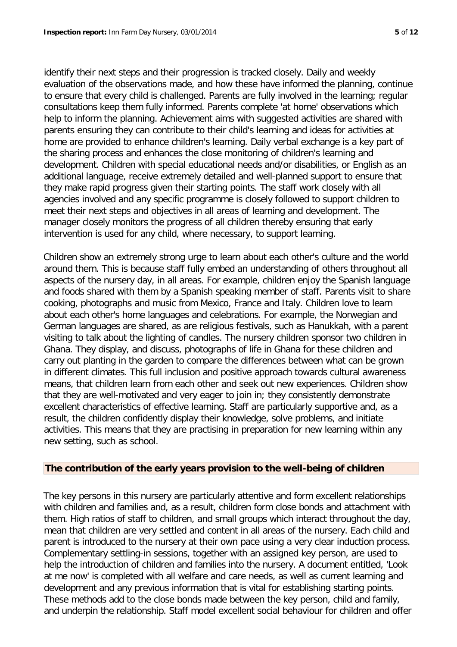identify their next steps and their progression is tracked closely. Daily and weekly evaluation of the observations made, and how these have informed the planning, continue to ensure that every child is challenged. Parents are fully involved in the learning; regular consultations keep them fully informed. Parents complete 'at home' observations which help to inform the planning. Achievement aims with suggested activities are shared with parents ensuring they can contribute to their child's learning and ideas for activities at home are provided to enhance children's learning. Daily verbal exchange is a key part of the sharing process and enhances the close monitoring of children's learning and development. Children with special educational needs and/or disabilities, or English as an additional language, receive extremely detailed and well-planned support to ensure that they make rapid progress given their starting points. The staff work closely with all agencies involved and any specific programme is closely followed to support children to meet their next steps and objectives in all areas of learning and development. The manager closely monitors the progress of all children thereby ensuring that early intervention is used for any child, where necessary, to support learning.

Children show an extremely strong urge to learn about each other's culture and the world around them. This is because staff fully embed an understanding of others throughout all aspects of the nursery day, in all areas. For example, children enjoy the Spanish language and foods shared with them by a Spanish speaking member of staff. Parents visit to share cooking, photographs and music from Mexico, France and Italy. Children love to learn about each other's home languages and celebrations. For example, the Norwegian and German languages are shared, as are religious festivals, such as Hanukkah, with a parent visiting to talk about the lighting of candles. The nursery children sponsor two children in Ghana. They display, and discuss, photographs of life in Ghana for these children and carry out planting in the garden to compare the differences between what can be grown in different climates. This full inclusion and positive approach towards cultural awareness means, that children learn from each other and seek out new experiences. Children show that they are well-motivated and very eager to join in; they consistently demonstrate excellent characteristics of effective learning. Staff are particularly supportive and, as a result, the children confidently display their knowledge, solve problems, and initiate activities. This means that they are practising in preparation for new learning within any new setting, such as school.

#### **The contribution of the early years provision to the well-being of children**

The key persons in this nursery are particularly attentive and form excellent relationships with children and families and, as a result, children form close bonds and attachment with them. High ratios of staff to children, and small groups which interact throughout the day, mean that children are very settled and content in all areas of the nursery. Each child and parent is introduced to the nursery at their own pace using a very clear induction process. Complementary settling-in sessions, together with an assigned key person, are used to help the introduction of children and families into the nursery. A document entitled, 'Look at me now' is completed with all welfare and care needs, as well as current learning and development and any previous information that is vital for establishing starting points. These methods add to the close bonds made between the key person, child and family, and underpin the relationship. Staff model excellent social behaviour for children and offer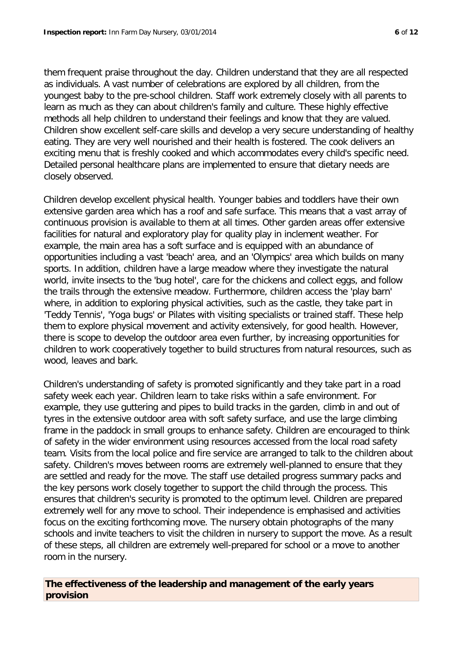them frequent praise throughout the day. Children understand that they are all respected as individuals. A vast number of celebrations are explored by all children, from the youngest baby to the pre-school children. Staff work extremely closely with all parents to learn as much as they can about children's family and culture. These highly effective methods all help children to understand their feelings and know that they are valued. Children show excellent self-care skills and develop a very secure understanding of healthy eating. They are very well nourished and their health is fostered. The cook delivers an exciting menu that is freshly cooked and which accommodates every child's specific need. Detailed personal healthcare plans are implemented to ensure that dietary needs are closely observed.

Children develop excellent physical health. Younger babies and toddlers have their own extensive garden area which has a roof and safe surface. This means that a vast array of continuous provision is available to them at all times. Other garden areas offer extensive facilities for natural and exploratory play for quality play in inclement weather. For example, the main area has a soft surface and is equipped with an abundance of opportunities including a vast 'beach' area, and an 'Olympics' area which builds on many sports. In addition, children have a large meadow where they investigate the natural world, invite insects to the 'bug hotel', care for the chickens and collect eggs, and follow the trails through the extensive meadow. Furthermore, children access the 'play barn' where, in addition to exploring physical activities, such as the castle, they take part in 'Teddy Tennis', 'Yoga bugs' or Pilates with visiting specialists or trained staff. These help them to explore physical movement and activity extensively, for good health. However, there is scope to develop the outdoor area even further, by increasing opportunities for children to work cooperatively together to build structures from natural resources, such as wood, leaves and bark.

Children's understanding of safety is promoted significantly and they take part in a road safety week each year. Children learn to take risks within a safe environment. For example, they use guttering and pipes to build tracks in the garden, climb in and out of tyres in the extensive outdoor area with soft safety surface, and use the large climbing frame in the paddock in small groups to enhance safety. Children are encouraged to think of safety in the wider environment using resources accessed from the local road safety team. Visits from the local police and fire service are arranged to talk to the children about safety. Children's moves between rooms are extremely well-planned to ensure that they are settled and ready for the move. The staff use detailed progress summary packs and the key persons work closely together to support the child through the process. This ensures that children's security is promoted to the optimum level. Children are prepared extremely well for any move to school. Their independence is emphasised and activities focus on the exciting forthcoming move. The nursery obtain photographs of the many schools and invite teachers to visit the children in nursery to support the move. As a result of these steps, all children are extremely well-prepared for school or a move to another room in the nursery.

## **The effectiveness of the leadership and management of the early years provision**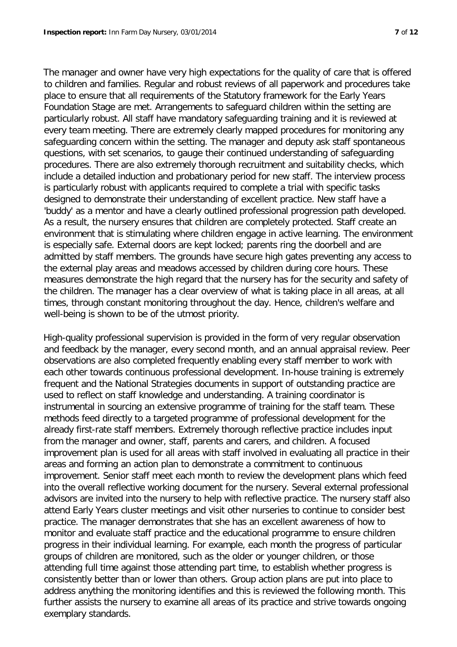The manager and owner have very high expectations for the quality of care that is offered to children and families. Regular and robust reviews of all paperwork and procedures take place to ensure that all requirements of the Statutory framework for the Early Years Foundation Stage are met. Arrangements to safeguard children within the setting are particularly robust. All staff have mandatory safeguarding training and it is reviewed at every team meeting. There are extremely clearly mapped procedures for monitoring any safeguarding concern within the setting. The manager and deputy ask staff spontaneous questions, with set scenarios, to gauge their continued understanding of safeguarding procedures. There are also extremely thorough recruitment and suitability checks, which include a detailed induction and probationary period for new staff. The interview process is particularly robust with applicants required to complete a trial with specific tasks designed to demonstrate their understanding of excellent practice. New staff have a 'buddy' as a mentor and have a clearly outlined professional progression path developed. As a result, the nursery ensures that children are completely protected. Staff create an environment that is stimulating where children engage in active learning. The environment is especially safe. External doors are kept locked; parents ring the doorbell and are admitted by staff members. The grounds have secure high gates preventing any access to the external play areas and meadows accessed by children during core hours. These measures demonstrate the high regard that the nursery has for the security and safety of the children. The manager has a clear overview of what is taking place in all areas, at all times, through constant monitoring throughout the day. Hence, children's welfare and well-being is shown to be of the utmost priority.

High-quality professional supervision is provided in the form of very regular observation and feedback by the manager, every second month, and an annual appraisal review. Peer observations are also completed frequently enabling every staff member to work with each other towards continuous professional development. In-house training is extremely frequent and the National Strategies documents in support of outstanding practice are used to reflect on staff knowledge and understanding. A training coordinator is instrumental in sourcing an extensive programme of training for the staff team. These methods feed directly to a targeted programme of professional development for the already first-rate staff members. Extremely thorough reflective practice includes input from the manager and owner, staff, parents and carers, and children. A focused improvement plan is used for all areas with staff involved in evaluating all practice in their areas and forming an action plan to demonstrate a commitment to continuous improvement. Senior staff meet each month to review the development plans which feed into the overall reflective working document for the nursery. Several external professional advisors are invited into the nursery to help with reflective practice. The nursery staff also attend Early Years cluster meetings and visit other nurseries to continue to consider best practice. The manager demonstrates that she has an excellent awareness of how to monitor and evaluate staff practice and the educational programme to ensure children progress in their individual learning. For example, each month the progress of particular groups of children are monitored, such as the older or younger children, or those attending full time against those attending part time, to establish whether progress is consistently better than or lower than others. Group action plans are put into place to address anything the monitoring identifies and this is reviewed the following month. This further assists the nursery to examine all areas of its practice and strive towards ongoing exemplary standards.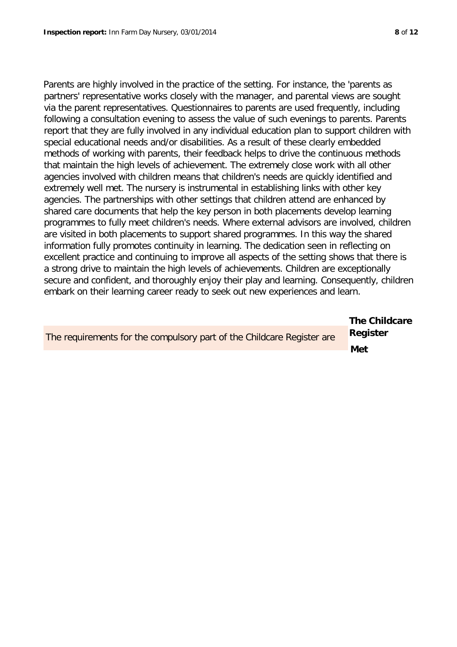**The Childcare** 

Parents are highly involved in the practice of the setting. For instance, the 'parents as partners' representative works closely with the manager, and parental views are sought via the parent representatives. Questionnaires to parents are used frequently, including following a consultation evening to assess the value of such evenings to parents. Parents report that they are fully involved in any individual education plan to support children with special educational needs and/or disabilities. As a result of these clearly embedded methods of working with parents, their feedback helps to drive the continuous methods that maintain the high levels of achievement. The extremely close work with all other agencies involved with children means that children's needs are quickly identified and extremely well met. The nursery is instrumental in establishing links with other key agencies. The partnerships with other settings that children attend are enhanced by shared care documents that help the key person in both placements develop learning programmes to fully meet children's needs. Where external advisors are involved, children are visited in both placements to support shared programmes. In this way the shared information fully promotes continuity in learning. The dedication seen in reflecting on excellent practice and continuing to improve all aspects of the setting shows that there is a strong drive to maintain the high levels of achievements. Children are exceptionally secure and confident, and thoroughly enjoy their play and learning. Consequently, children embark on their learning career ready to seek out new experiences and learn.

| The requirements for the compulsory part of the Childcare Register are | Register |
|------------------------------------------------------------------------|----------|
|                                                                        | Met      |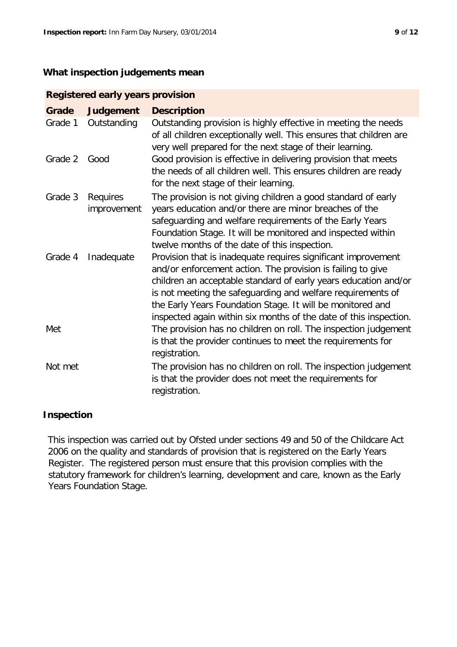### **What inspection judgements mean**

| <b>Registered early years provision</b> |                         |                                                                                                                                                                                                                                                                                                                                                                                                   |  |  |  |
|-----------------------------------------|-------------------------|---------------------------------------------------------------------------------------------------------------------------------------------------------------------------------------------------------------------------------------------------------------------------------------------------------------------------------------------------------------------------------------------------|--|--|--|
| Grade                                   | <b>Judgement</b>        | <b>Description</b>                                                                                                                                                                                                                                                                                                                                                                                |  |  |  |
| Grade 1                                 | Outstanding             | Outstanding provision is highly effective in meeting the needs<br>of all children exceptionally well. This ensures that children are<br>very well prepared for the next stage of their learning.                                                                                                                                                                                                  |  |  |  |
| Grade 2                                 | Good                    | Good provision is effective in delivering provision that meets<br>the needs of all children well. This ensures children are ready<br>for the next stage of their learning.                                                                                                                                                                                                                        |  |  |  |
| Grade 3                                 | Requires<br>improvement | The provision is not giving children a good standard of early<br>years education and/or there are minor breaches of the<br>safeguarding and welfare requirements of the Early Years<br>Foundation Stage. It will be monitored and inspected within<br>twelve months of the date of this inspection.                                                                                               |  |  |  |
| Grade 4                                 | Inadequate              | Provision that is inadequate requires significant improvement<br>and/or enforcement action. The provision is failing to give<br>children an acceptable standard of early years education and/or<br>is not meeting the safeguarding and welfare requirements of<br>the Early Years Foundation Stage. It will be monitored and<br>inspected again within six months of the date of this inspection. |  |  |  |
| Met                                     |                         | The provision has no children on roll. The inspection judgement<br>is that the provider continues to meet the requirements for<br>registration.                                                                                                                                                                                                                                                   |  |  |  |
| Not met                                 |                         | The provision has no children on roll. The inspection judgement<br>is that the provider does not meet the requirements for<br>registration.                                                                                                                                                                                                                                                       |  |  |  |

## **Inspection**

This inspection was carried out by Ofsted under sections 49 and 50 of the Childcare Act 2006 on the quality and standards of provision that is registered on the Early Years Register. The registered person must ensure that this provision complies with the statutory framework for children's learning, development and care, known as the Early Years Foundation Stage.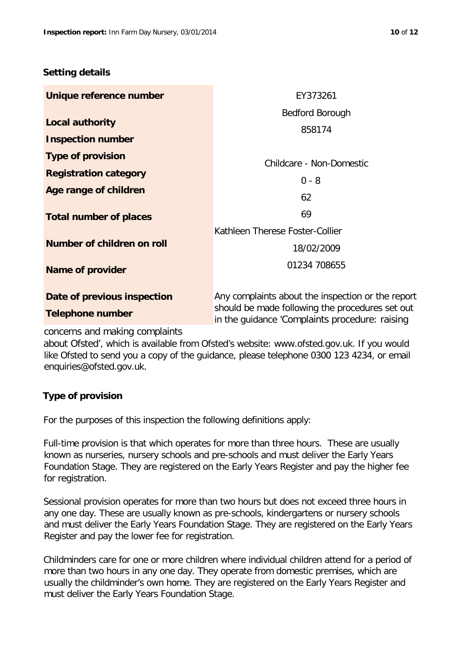### **Setting details**

| Unique reference number       | EY373261                                                                                          |
|-------------------------------|---------------------------------------------------------------------------------------------------|
|                               | Bedford Borough                                                                                   |
| <b>Local authority</b>        | 858174                                                                                            |
| <b>Inspection number</b>      |                                                                                                   |
| <b>Type of provision</b>      | Childcare - Non-Domestic                                                                          |
| <b>Registration category</b>  | $0 - 8$                                                                                           |
| Age range of children         |                                                                                                   |
|                               | 62                                                                                                |
| <b>Total number of places</b> | 69                                                                                                |
|                               | Kathleen Therese Foster-Collier                                                                   |
| Number of children on roll    | 18/02/2009                                                                                        |
| <b>Name of provider</b>       | 01234 708655                                                                                      |
|                               |                                                                                                   |
| Date of previous inspection   | Any complaints about the inspection or the report                                                 |
| <b>Telephone number</b>       | should be made following the procedures set out<br>in the guidance 'Complaints procedure: raising |

### concerns and making complaints

about Ofsted', which is available from Ofsted's website: www.ofsted.gov.uk. If you would like Ofsted to send you a copy of the guidance, please telephone 0300 123 4234, or email enquiries@ofsted.gov.uk.

## **Type of provision**

For the purposes of this inspection the following definitions apply:

Full-time provision is that which operates for more than three hours. These are usually known as nurseries, nursery schools and pre-schools and must deliver the Early Years Foundation Stage. They are registered on the Early Years Register and pay the higher fee for registration.

Sessional provision operates for more than two hours but does not exceed three hours in any one day. These are usually known as pre-schools, kindergartens or nursery schools and must deliver the Early Years Foundation Stage. They are registered on the Early Years Register and pay the lower fee for registration.

Childminders care for one or more children where individual children attend for a period of more than two hours in any one day. They operate from domestic premises, which are usually the childminder's own home. They are registered on the Early Years Register and must deliver the Early Years Foundation Stage.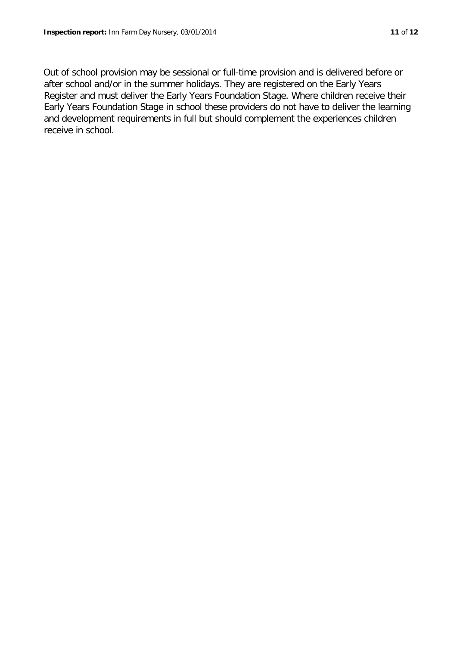Out of school provision may be sessional or full-time provision and is delivered before or after school and/or in the summer holidays. They are registered on the Early Years Register and must deliver the Early Years Foundation Stage. Where children receive their Early Years Foundation Stage in school these providers do not have to deliver the learning and development requirements in full but should complement the experiences children receive in school.